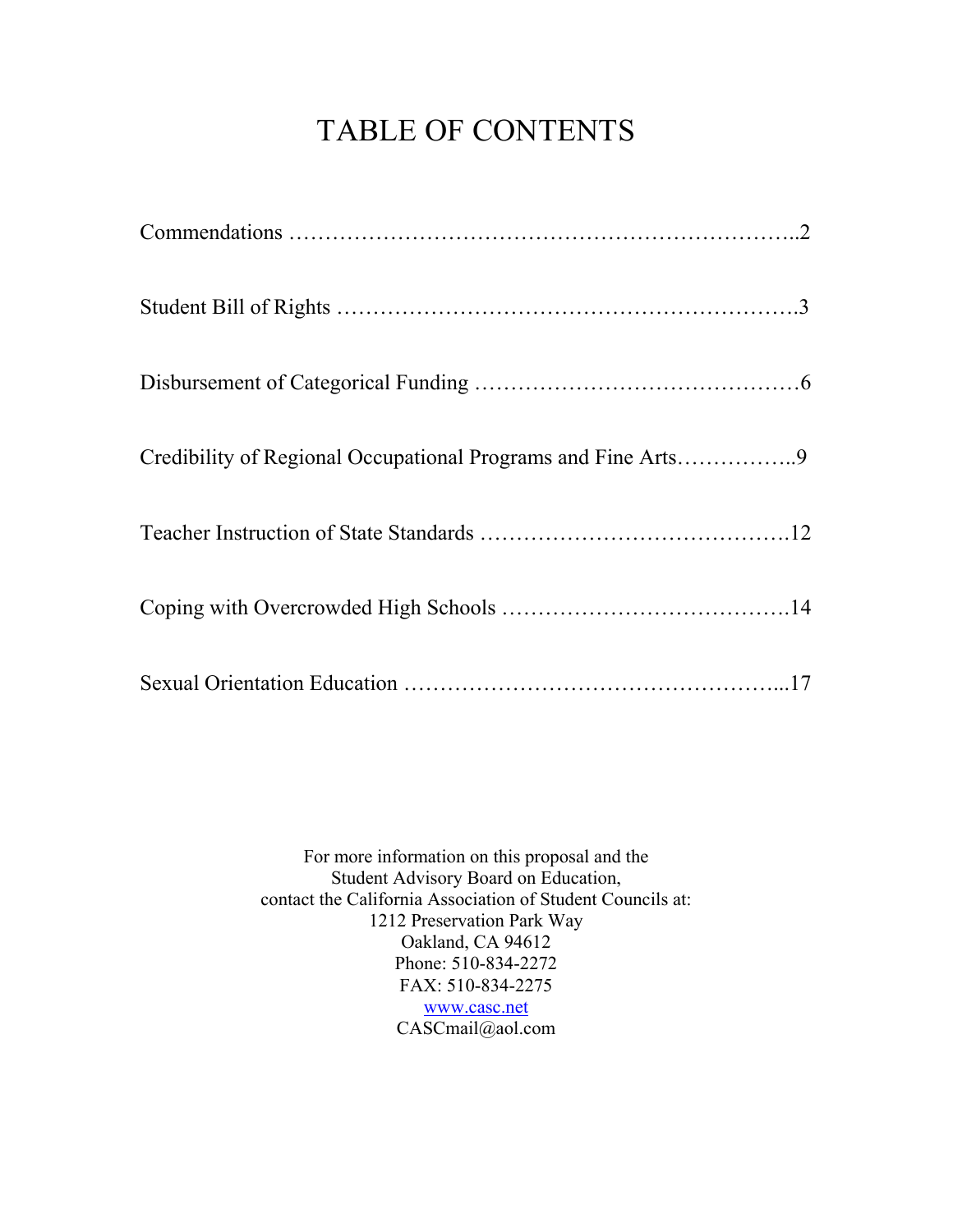# TABLE OF CONTENTS

For more information on this proposal and the Student Advisory Board on Education, contact the California Association of Student Councils at: 1212 Preservation Park Way Oakland, CA 94612 Phone: 510-834-2272 FAX: 510-834-2275 www.casc.net CASCmail@aol.com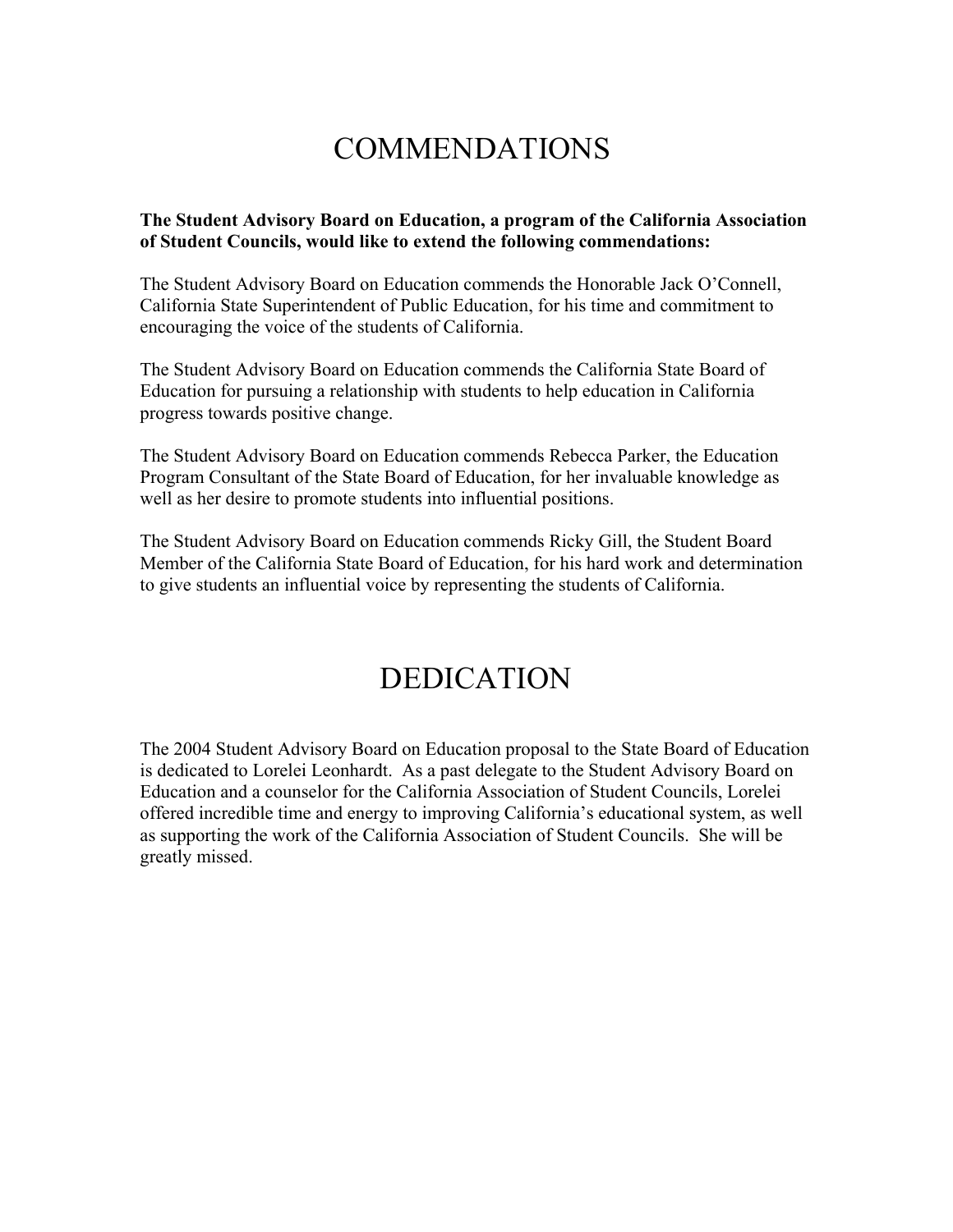## COMMENDATIONS

#### **The Student Advisory Board on Education, a program of the California Association of Student Councils, would like to extend the following commendations:**

The Student Advisory Board on Education commends the Honorable Jack O'Connell, California State Superintendent of Public Education, for his time and commitment to encouraging the voice of the students of California.

The Student Advisory Board on Education commends the California State Board of Education for pursuing a relationship with students to help education in California progress towards positive change.

The Student Advisory Board on Education commends Rebecca Parker, the Education Program Consultant of the State Board of Education, for her invaluable knowledge as well as her desire to promote students into influential positions.

The Student Advisory Board on Education commends Ricky Gill, the Student Board Member of the California State Board of Education, for his hard work and determination to give students an influential voice by representing the students of California.

## DEDICATION

The 2004 Student Advisory Board on Education proposal to the State Board of Education is dedicated to Lorelei Leonhardt. As a past delegate to the Student Advisory Board on Education and a counselor for the California Association of Student Councils, Lorelei offered incredible time and energy to improving California's educational system, as well as supporting the work of the California Association of Student Councils. She will be greatly missed.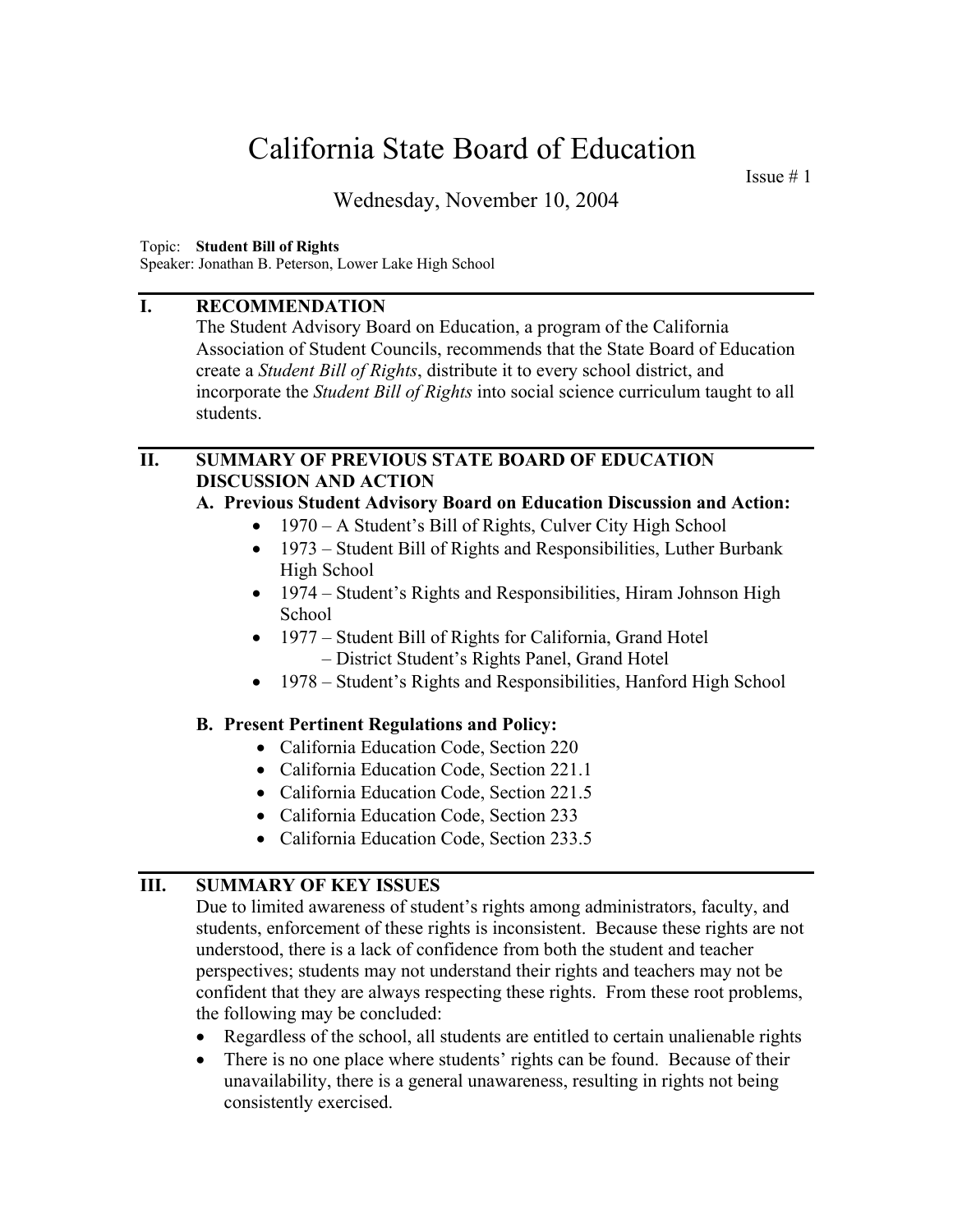Issue  $# 1$ 

Wednesday, November 10, 2004

#### Topic: **Student Bill of Rights**

Speaker: Jonathan B. Peterson, Lower Lake High School

#### **I. RECOMMENDATION**

The Student Advisory Board on Education, a program of the California Association of Student Councils, recommends that the State Board of Education create a *Student Bill of Rights*, distribute it to every school district, and incorporate the *Student Bill of Rights* into social science curriculum taught to all students.

#### **II. SUMMARY OF PREVIOUS STATE BOARD OF EDUCATION DISCUSSION AND ACTION**

#### **A. Previous Student Advisory Board on Education Discussion and Action:**

- 1970 A Student's Bill of Rights, Culver City High School
- 1973 Student Bill of Rights and Responsibilities, Luther Burbank High School
- 1974 Student's Rights and Responsibilities, Hiram Johnson High School
- 1977 Student Bill of Rights for California, Grand Hotel – District Student's Rights Panel, Grand Hotel
- 1978 Student's Rights and Responsibilities, Hanford High School

#### **B. Present Pertinent Regulations and Policy:**

- California Education Code, Section 220
- California Education Code, Section 221.1
- California Education Code, Section 221.5
- California Education Code, Section 233
- California Education Code, Section 233.5

#### **III. SUMMARY OF KEY ISSUES**

Due to limited awareness of student's rights among administrators, faculty, and students, enforcement of these rights is inconsistent. Because these rights are not understood, there is a lack of confidence from both the student and teacher perspectives; students may not understand their rights and teachers may not be confident that they are always respecting these rights. From these root problems, the following may be concluded:

- Regardless of the school, all students are entitled to certain unalienable rights
- There is no one place where students' rights can be found. Because of their unavailability, there is a general unawareness, resulting in rights not being consistently exercised.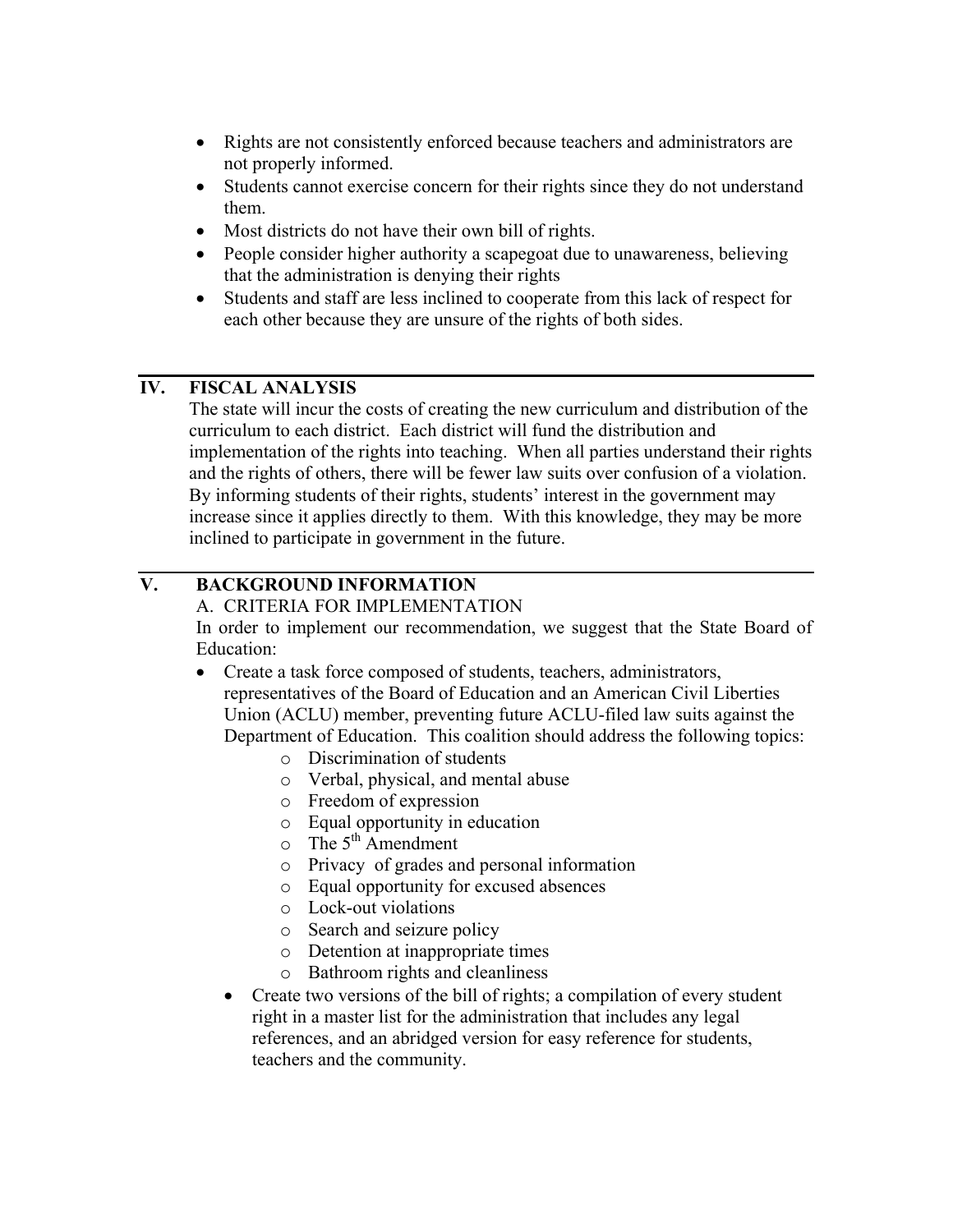- Rights are not consistently enforced because teachers and administrators are not properly informed.
- Students cannot exercise concern for their rights since they do not understand them.
- Most districts do not have their own bill of rights.
- People consider higher authority a scapegoat due to unawareness, believing that the administration is denying their rights
- Students and staff are less inclined to cooperate from this lack of respect for each other because they are unsure of the rights of both sides.

#### **IV. FISCAL ANALYSIS**

The state will incur the costs of creating the new curriculum and distribution of the curriculum to each district. Each district will fund the distribution and implementation of the rights into teaching. When all parties understand their rights and the rights of others, there will be fewer law suits over confusion of a violation. By informing students of their rights, students' interest in the government may increase since it applies directly to them. With this knowledge, they may be more inclined to participate in government in the future.

## **V. BACKGROUND INFORMATION**

A. CRITERIA FOR IMPLEMENTATION

In order to implement our recommendation, we suggest that the State Board of Education:

- Create a task force composed of students, teachers, administrators, representatives of the Board of Education and an American Civil Liberties Union (ACLU) member, preventing future ACLU-filed law suits against the Department of Education. This coalition should address the following topics:
	- o Discrimination of students
	- o Verbal, physical, and mental abuse
	- o Freedom of expression
	- o Equal opportunity in education
	- $\circ$  The 5<sup>th</sup> Amendment
	- o Privacy of grades and personal information
	- o Equal opportunity for excused absences
	- o Lock-out violations
	- o Search and seizure policy
	- o Detention at inappropriate times
	- o Bathroom rights and cleanliness
	- Create two versions of the bill of rights; a compilation of every student right in a master list for the administration that includes any legal references, and an abridged version for easy reference for students, teachers and the community.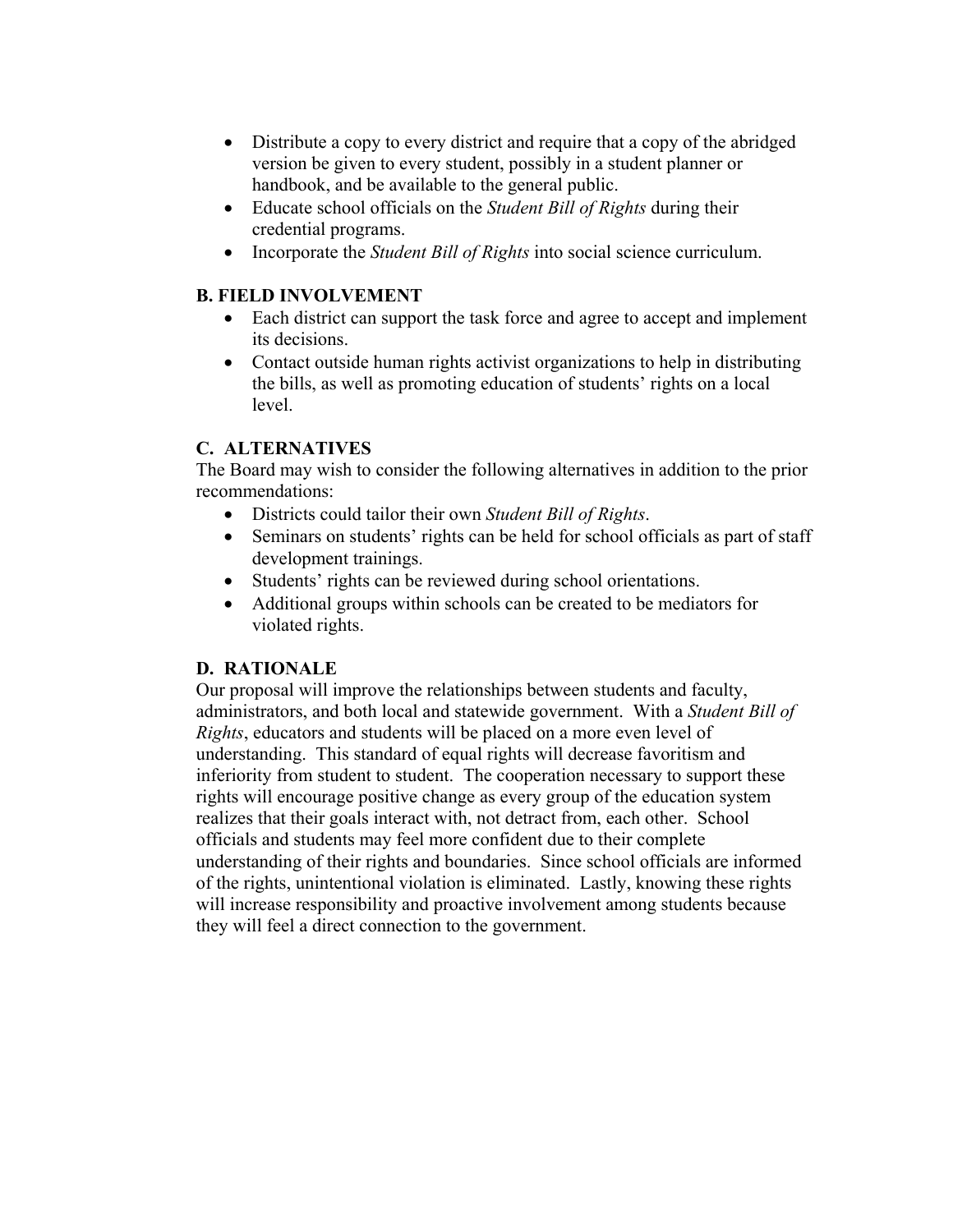- Distribute a copy to every district and require that a copy of the abridged version be given to every student, possibly in a student planner or handbook, and be available to the general public.
- Educate school officials on the *Student Bill of Rights* during their credential programs.
- Incorporate the *Student Bill of Rights* into social science curriculum.

### **B. FIELD INVOLVEMENT**

- Each district can support the task force and agree to accept and implement its decisions.
- Contact outside human rights activist organizations to help in distributing the bills, as well as promoting education of students' rights on a local level.

#### **C. ALTERNATIVES**

The Board may wish to consider the following alternatives in addition to the prior recommendations:

- Districts could tailor their own *Student Bill of Rights*.
- Seminars on students' rights can be held for school officials as part of staff development trainings.
- Students' rights can be reviewed during school orientations.
- Additional groups within schools can be created to be mediators for violated rights.

## **D. RATIONALE**

Our proposal will improve the relationships between students and faculty, administrators, and both local and statewide government. With a *Student Bill of Rights*, educators and students will be placed on a more even level of understanding. This standard of equal rights will decrease favoritism and inferiority from student to student. The cooperation necessary to support these rights will encourage positive change as every group of the education system realizes that their goals interact with, not detract from, each other. School officials and students may feel more confident due to their complete understanding of their rights and boundaries. Since school officials are informed of the rights, unintentional violation is eliminated. Lastly, knowing these rights will increase responsibility and proactive involvement among students because they will feel a direct connection to the government.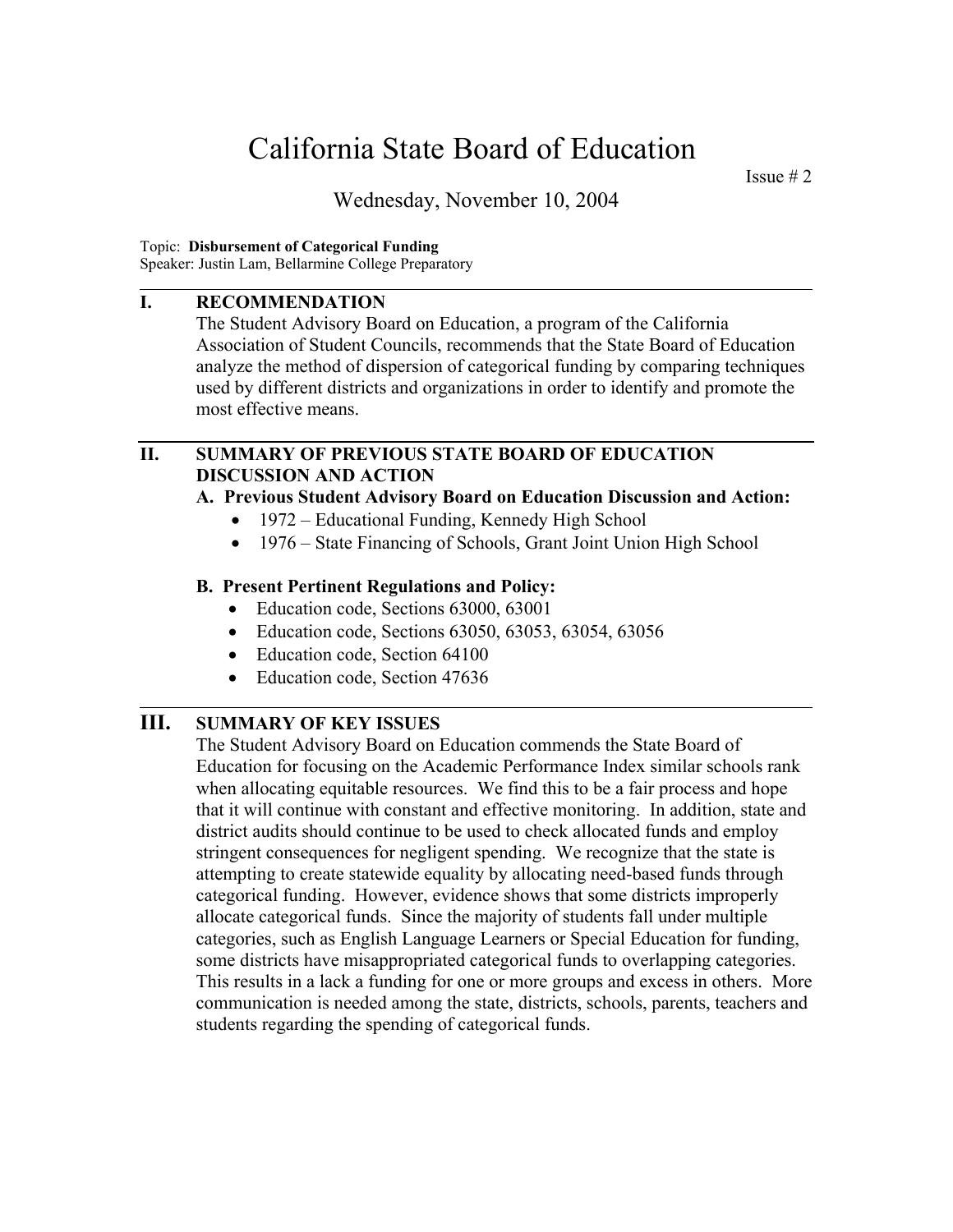Issue  $# 2$ 

Wednesday, November 10, 2004

#### Topic: **Disbursement of Categorical Funding**

Speaker: Justin Lam, Bellarmine College Preparatory

#### **I. RECOMMENDATION**

l

l

 The Student Advisory Board on Education, a program of the California Association of Student Councils, recommends that the State Board of Education analyze the method of dispersion of categorical funding by comparing techniques used by different districts and organizations in order to identify and promote the most effective means.

#### **II. SUMMARY OF PREVIOUS STATE BOARD OF EDUCATION DISCUSSION AND ACTION**

#### **A. Previous Student Advisory Board on Education Discussion and Action:**

- 1972 Educational Funding, Kennedy High School
- 1976 State Financing of Schools, Grant Joint Union High School

#### **B. Present Pertinent Regulations and Policy:**

- Education code, Sections 63000, 63001
- Education code, Sections 63050, 63053, 63054, 63056
- Education code, Section 64100
- Education code, Section 47636

## **III. SUMMARY OF KEY ISSUES**

The Student Advisory Board on Education commends the State Board of Education for focusing on the Academic Performance Index similar schools rank when allocating equitable resources. We find this to be a fair process and hope that it will continue with constant and effective monitoring. In addition, state and district audits should continue to be used to check allocated funds and employ stringent consequences for negligent spending. We recognize that the state is attempting to create statewide equality by allocating need-based funds through categorical funding. However, evidence shows that some districts improperly allocate categorical funds. Since the majority of students fall under multiple categories, such as English Language Learners or Special Education for funding, some districts have misappropriated categorical funds to overlapping categories. This results in a lack a funding for one or more groups and excess in others. More communication is needed among the state, districts, schools, parents, teachers and students regarding the spending of categorical funds.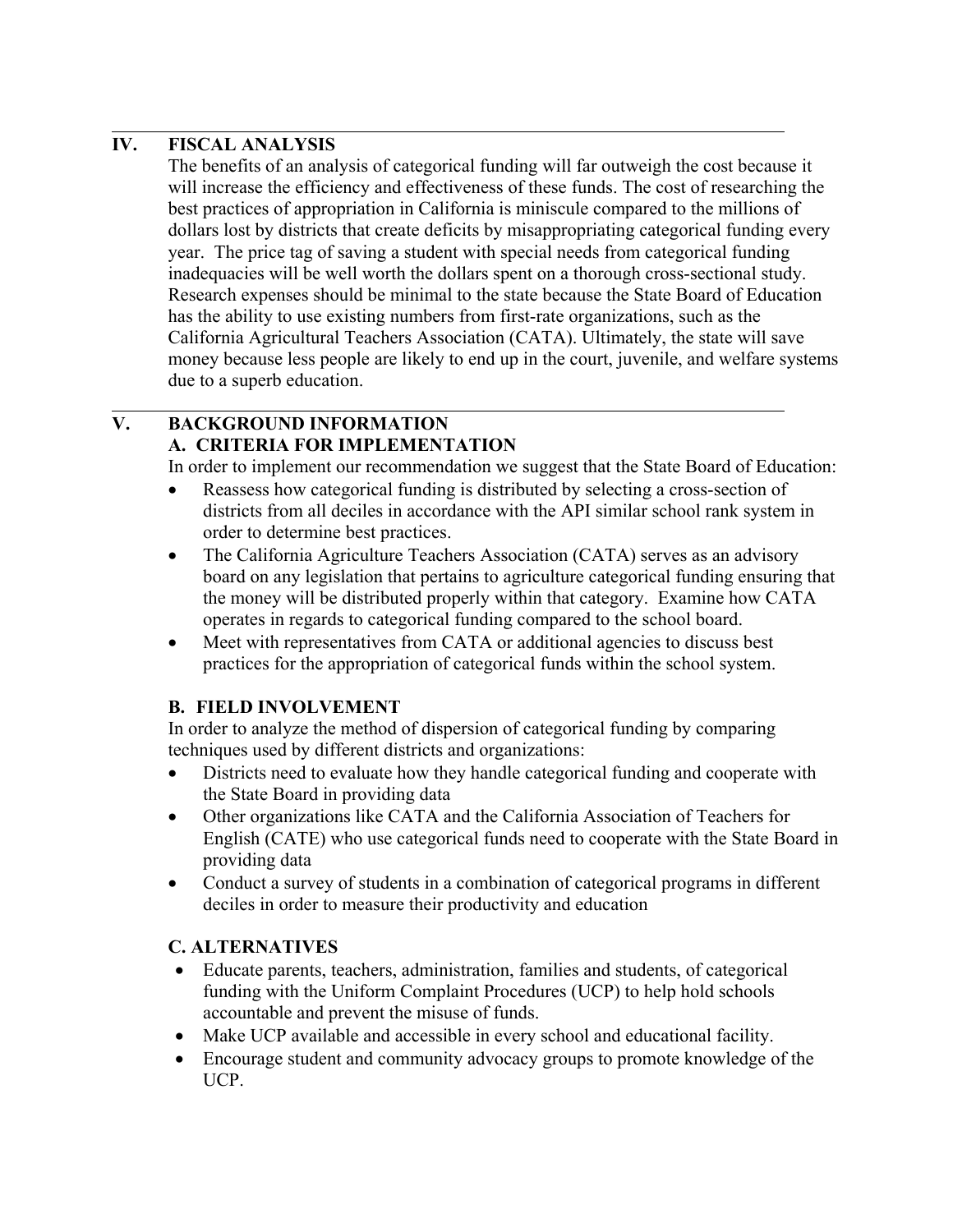## **IV. FISCAL ANALYSIS**

l

 $\overline{a}$ 

The benefits of an analysis of categorical funding will far outweigh the cost because it will increase the efficiency and effectiveness of these funds. The cost of researching the best practices of appropriation in California is miniscule compared to the millions of dollars lost by districts that create deficits by misappropriating categorical funding every year. The price tag of saving a student with special needs from categorical funding inadequacies will be well worth the dollars spent on a thorough cross-sectional study. Research expenses should be minimal to the state because the State Board of Education has the ability to use existing numbers from first-rate organizations, such as the California Agricultural Teachers Association (CATA). Ultimately, the state will save money because less people are likely to end up in the court, juvenile, and welfare systems due to a superb education.

#### **V. BACKGROUND INFORMATION A. CRITERIA FOR IMPLEMENTATION**

In order to implement our recommendation we suggest that the State Board of Education:

- Reassess how categorical funding is distributed by selecting a cross-section of districts from all deciles in accordance with the API similar school rank system in order to determine best practices.
- The California Agriculture Teachers Association (CATA) serves as an advisory board on any legislation that pertains to agriculture categorical funding ensuring that the money will be distributed properly within that category. Examine how CATA operates in regards to categorical funding compared to the school board.
- Meet with representatives from CATA or additional agencies to discuss best practices for the appropriation of categorical funds within the school system.

## **B. FIELD INVOLVEMENT**

In order to analyze the method of dispersion of categorical funding by comparing techniques used by different districts and organizations:

- Districts need to evaluate how they handle categorical funding and cooperate with the State Board in providing data
- Other organizations like CATA and the California Association of Teachers for English (CATE) who use categorical funds need to cooperate with the State Board in providing data
- Conduct a survey of students in a combination of categorical programs in different deciles in order to measure their productivity and education

#### **C. ALTERNATIVES**

- Educate parents, teachers, administration, families and students, of categorical funding with the Uniform Complaint Procedures (UCP) to help hold schools accountable and prevent the misuse of funds.
- Make UCP available and accessible in every school and educational facility.
- Encourage student and community advocacy groups to promote knowledge of the UCP.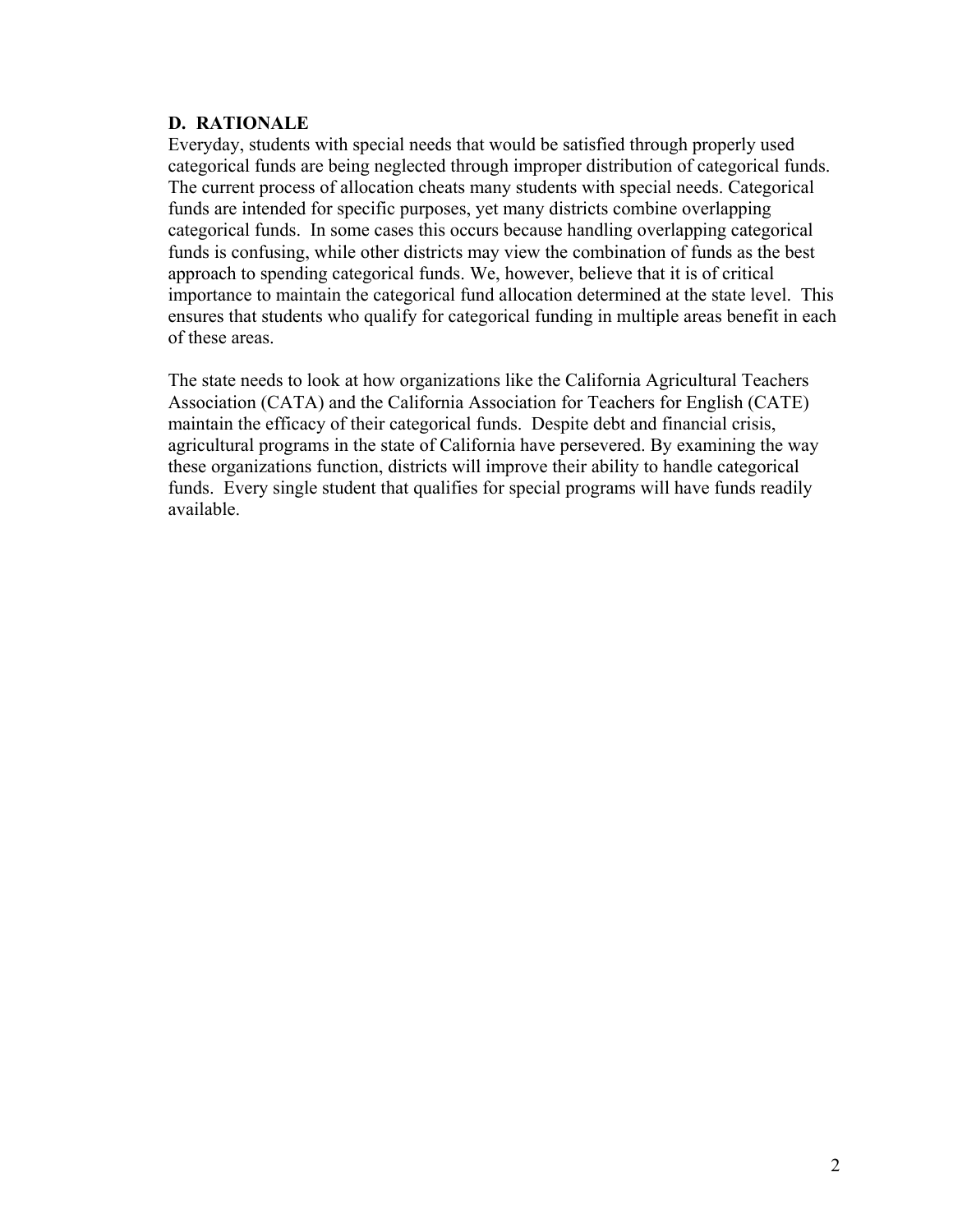#### **D. RATIONALE**

Everyday, students with special needs that would be satisfied through properly used categorical funds are being neglected through improper distribution of categorical funds. The current process of allocation cheats many students with special needs. Categorical funds are intended for specific purposes, yet many districts combine overlapping categorical funds. In some cases this occurs because handling overlapping categorical funds is confusing, while other districts may view the combination of funds as the best approach to spending categorical funds. We, however, believe that it is of critical importance to maintain the categorical fund allocation determined at the state level. This ensures that students who qualify for categorical funding in multiple areas benefit in each of these areas.

The state needs to look at how organizations like the California Agricultural Teachers Association (CATA) and the California Association for Teachers for English (CATE) maintain the efficacy of their categorical funds. Despite debt and financial crisis, agricultural programs in the state of California have persevered. By examining the way these organizations function, districts will improve their ability to handle categorical funds. Every single student that qualifies for special programs will have funds readily available.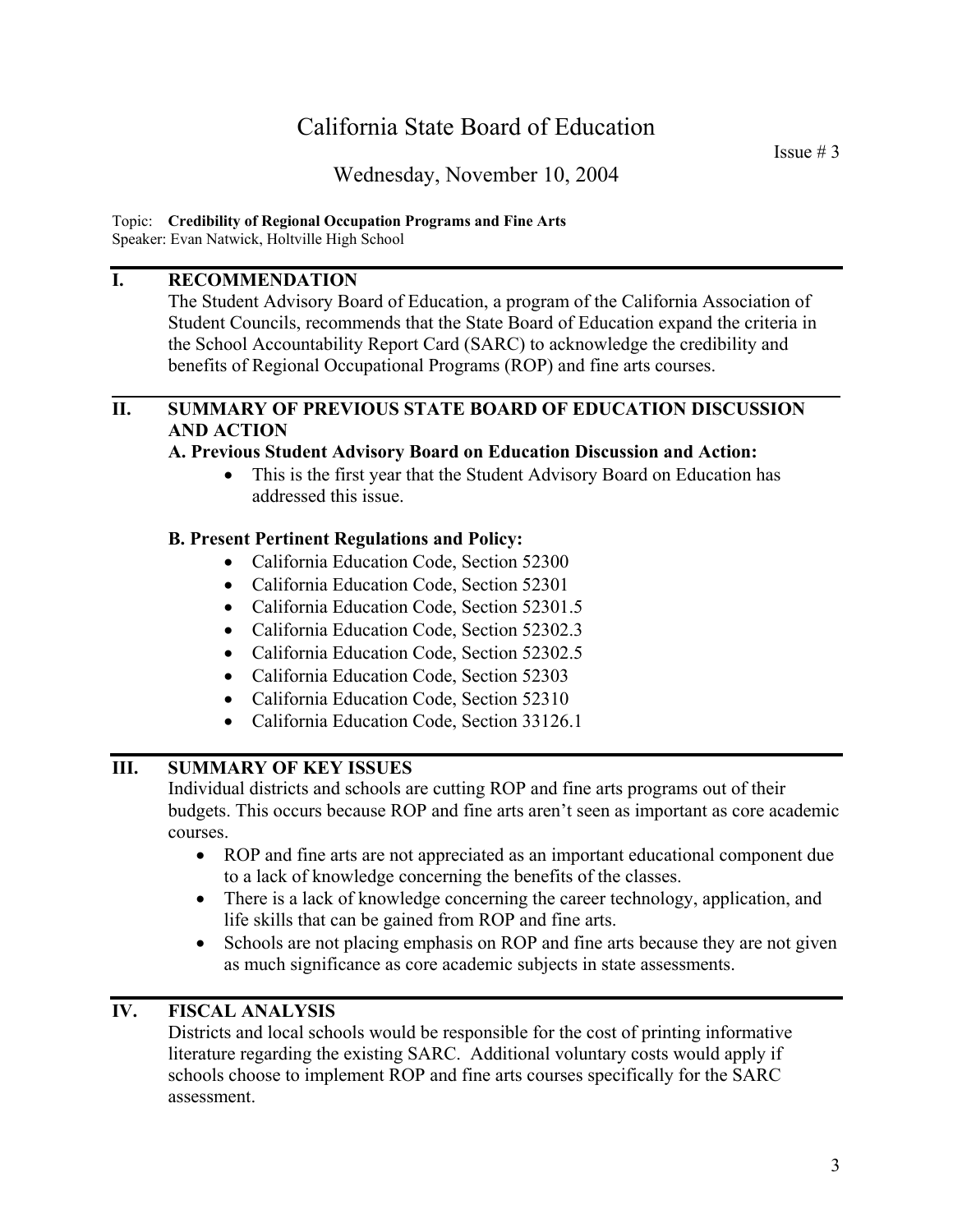## Wednesday, November 10, 2004

#### Topic: **Credibility of Regional Occupation Programs and Fine Arts**  Speaker: Evan Natwick, Holtville High School

#### **I. RECOMMENDATION**

The Student Advisory Board of Education, a program of the California Association of Student Councils, recommends that the State Board of Education expand the criteria in the School Accountability Report Card (SARC) to acknowledge the credibility and benefits of Regional Occupational Programs (ROP) and fine arts courses.

#### **II. SUMMARY OF PREVIOUS STATE BOARD OF EDUCATION DISCUSSION AND ACTION**

#### **A. Previous Student Advisory Board on Education Discussion and Action:**

• This is the first year that the Student Advisory Board on Education has addressed this issue.

#### **B. Present Pertinent Regulations and Policy:**

- California Education Code, Section 52300
- California Education Code, Section 52301
- California Education Code, Section 52301.5
- California Education Code, Section 52302.3
- California Education Code, Section 52302.5
- California Education Code, Section 52303
- California Education Code, Section 52310
- California Education Code, Section 33126.1

## **III. SUMMARY OF KEY ISSUES**

Individual districts and schools are cutting ROP and fine arts programs out of their budgets. This occurs because ROP and fine arts aren't seen as important as core academic courses.

- ROP and fine arts are not appreciated as an important educational component due to a lack of knowledge concerning the benefits of the classes.
- There is a lack of knowledge concerning the career technology, application, and life skills that can be gained from ROP and fine arts.
- Schools are not placing emphasis on ROP and fine arts because they are not given as much significance as core academic subjects in state assessments.

#### **IV. FISCAL ANALYSIS**

Districts and local schools would be responsible for the cost of printing informative literature regarding the existing SARC. Additional voluntary costs would apply if schools choose to implement ROP and fine arts courses specifically for the SARC assessment.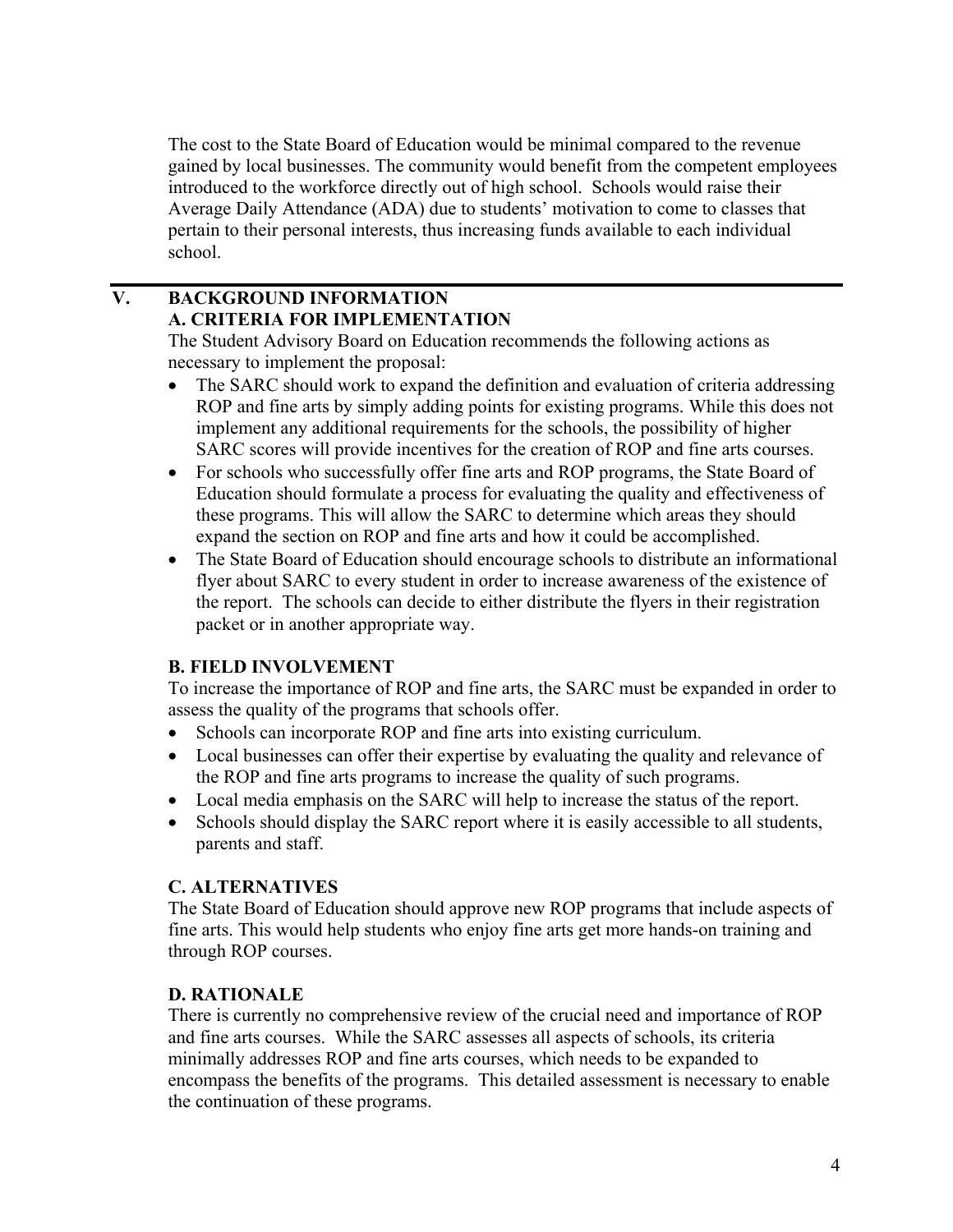The cost to the State Board of Education would be minimal compared to the revenue gained by local businesses. The community would benefit from the competent employees introduced to the workforce directly out of high school. Schools would raise their Average Daily Attendance (ADA) due to students' motivation to come to classes that pertain to their personal interests, thus increasing funds available to each individual school.

## **V. BACKGROUND INFORMATION A. CRITERIA FOR IMPLEMENTATION**

The Student Advisory Board on Education recommends the following actions as necessary to implement the proposal:

- The SARC should work to expand the definition and evaluation of criteria addressing ROP and fine arts by simply adding points for existing programs. While this does not implement any additional requirements for the schools, the possibility of higher SARC scores will provide incentives for the creation of ROP and fine arts courses.
- For schools who successfully offer fine arts and ROP programs, the State Board of Education should formulate a process for evaluating the quality and effectiveness of these programs. This will allow the SARC to determine which areas they should expand the section on ROP and fine arts and how it could be accomplished.
- The State Board of Education should encourage schools to distribute an informational flyer about SARC to every student in order to increase awareness of the existence of the report. The schools can decide to either distribute the flyers in their registration packet or in another appropriate way.

## **B. FIELD INVOLVEMENT**

To increase the importance of ROP and fine arts, the SARC must be expanded in order to assess the quality of the programs that schools offer.

- Schools can incorporate ROP and fine arts into existing curriculum.
- Local businesses can offer their expertise by evaluating the quality and relevance of the ROP and fine arts programs to increase the quality of such programs.
- Local media emphasis on the SARC will help to increase the status of the report.
- Schools should display the SARC report where it is easily accessible to all students, parents and staff.

## **C. ALTERNATIVES**

The State Board of Education should approve new ROP programs that include aspects of fine arts. This would help students who enjoy fine arts get more hands-on training and through ROP courses.

## **D. RATIONALE**

There is currently no comprehensive review of the crucial need and importance of ROP and fine arts courses. While the SARC assesses all aspects of schools, its criteria minimally addresses ROP and fine arts courses, which needs to be expanded to encompass the benefits of the programs. This detailed assessment is necessary to enable the continuation of these programs.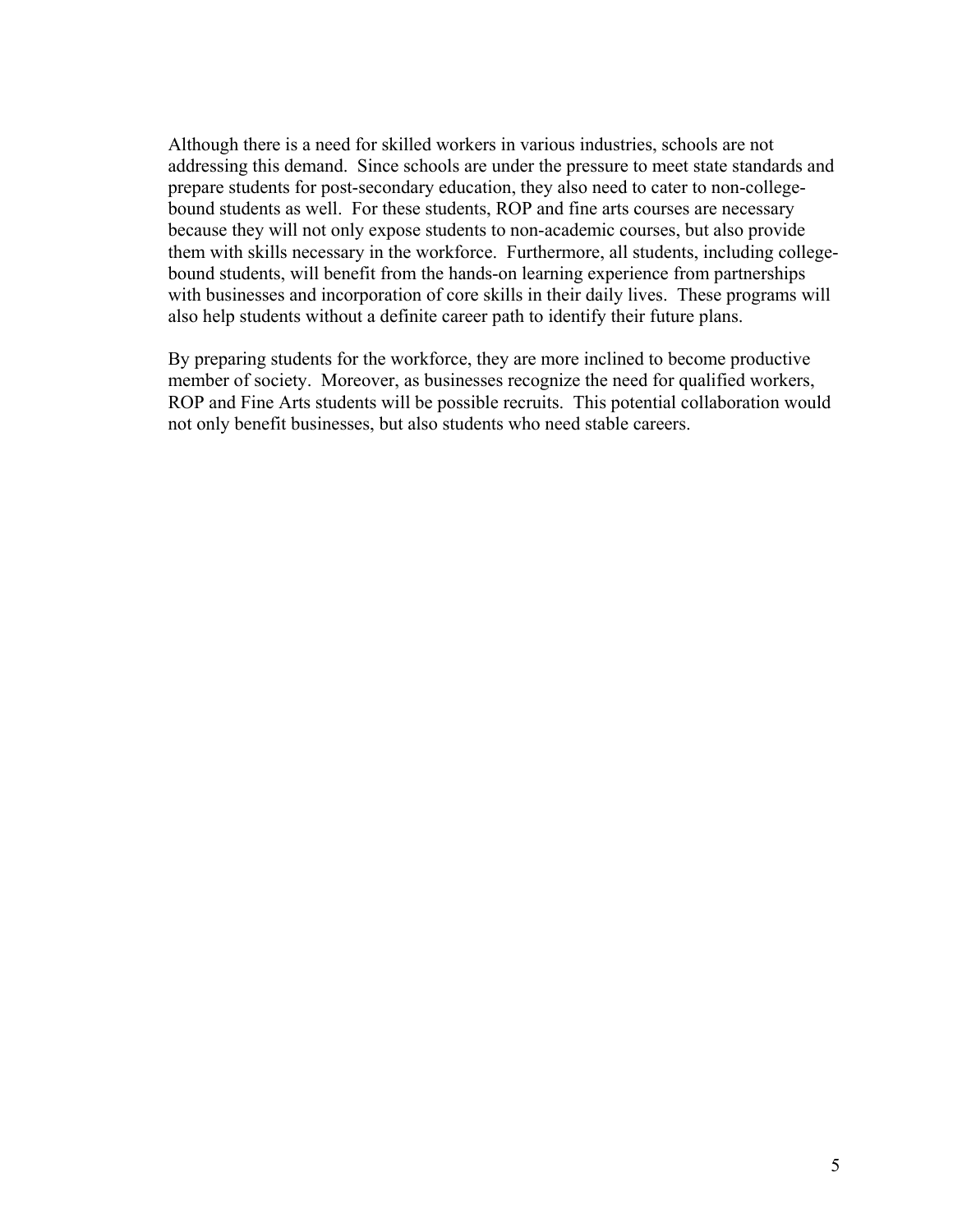Although there is a need for skilled workers in various industries, schools are not addressing this demand. Since schools are under the pressure to meet state standards and prepare students for post-secondary education, they also need to cater to non-collegebound students as well. For these students, ROP and fine arts courses are necessary because they will not only expose students to non-academic courses, but also provide them with skills necessary in the workforce. Furthermore, all students, including collegebound students, will benefit from the hands-on learning experience from partnerships with businesses and incorporation of core skills in their daily lives. These programs will also help students without a definite career path to identify their future plans.

By preparing students for the workforce, they are more inclined to become productive member of society. Moreover, as businesses recognize the need for qualified workers, ROP and Fine Arts students will be possible recruits. This potential collaboration would not only benefit businesses, but also students who need stable careers.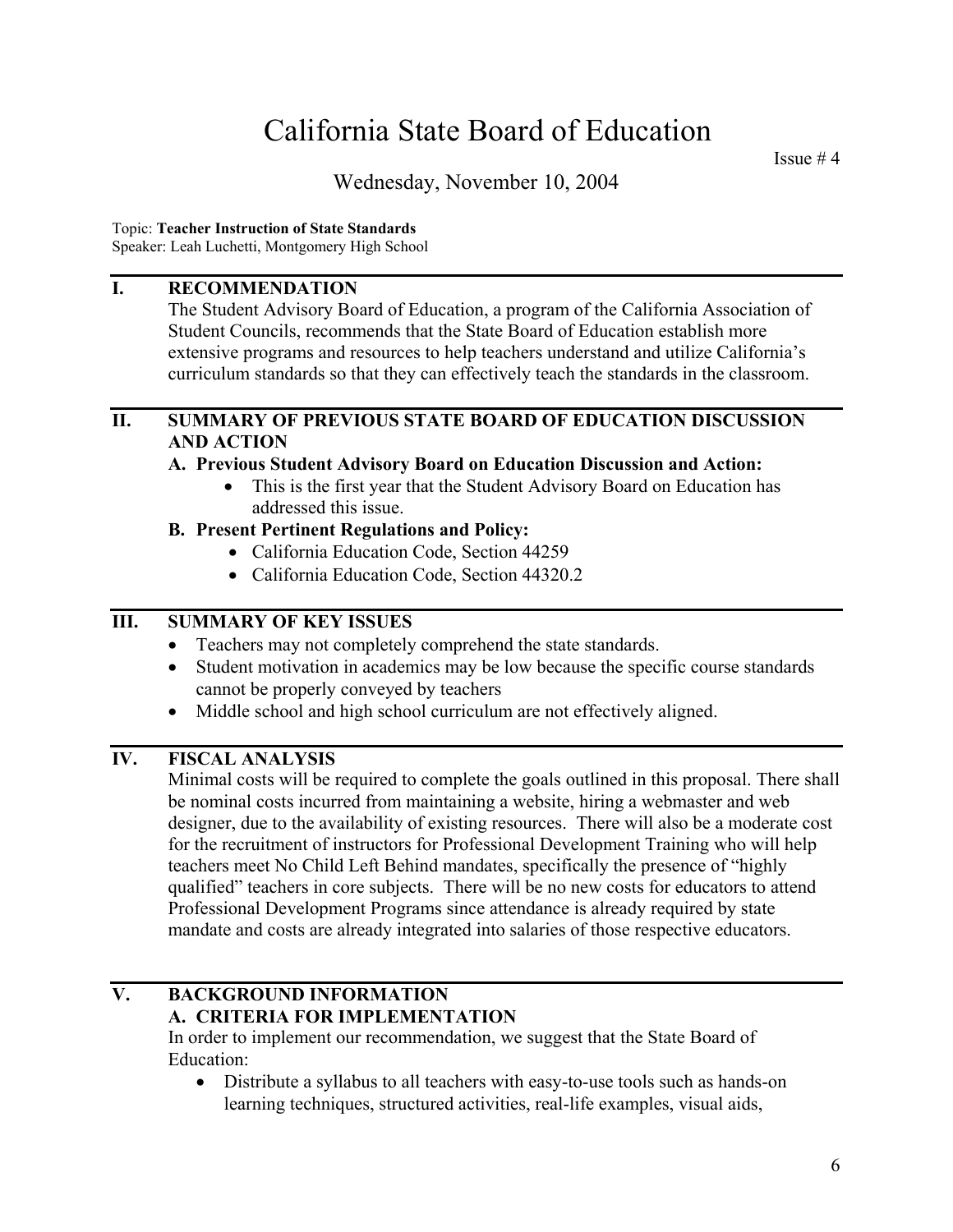Issue # 4

## Wednesday, November 10, 2004

#### Topic: **Teacher Instruction of State Standards**

Speaker: Leah Luchetti, Montgomery High School

#### **I. RECOMMENDATION**

 The Student Advisory Board of Education, a program of the California Association of Student Councils, recommends that the State Board of Education establish more extensive programs and resources to help teachers understand and utilize California's curriculum standards so that they can effectively teach the standards in the classroom.

#### **II. SUMMARY OF PREVIOUS STATE BOARD OF EDUCATION DISCUSSION AND ACTION**

#### **A. Previous Student Advisory Board on Education Discussion and Action:**

• This is the first year that the Student Advisory Board on Education has addressed this issue.

#### **B. Present Pertinent Regulations and Policy:**

- California Education Code, Section 44259
- California Education Code, Section 44320.2

#### **III. SUMMARY OF KEY ISSUES**

- Teachers may not completely comprehend the state standards.
- Student motivation in academics may be low because the specific course standards cannot be properly conveyed by teachers
- Middle school and high school curriculum are not effectively aligned.

### **IV. FISCAL ANALYSIS**

Minimal costs will be required to complete the goals outlined in this proposal. There shall be nominal costs incurred from maintaining a website, hiring a webmaster and web designer, due to the availability of existing resources. There will also be a moderate cost for the recruitment of instructors for Professional Development Training who will help teachers meet No Child Left Behind mandates, specifically the presence of "highly qualified" teachers in core subjects. There will be no new costs for educators to attend Professional Development Programs since attendance is already required by state mandate and costs are already integrated into salaries of those respective educators.

## **V. BACKGROUND INFORMATION A. CRITERIA FOR IMPLEMENTATION**

In order to implement our recommendation, we suggest that the State Board of Education:

• Distribute a syllabus to all teachers with easy-to-use tools such as hands-on learning techniques, structured activities, real-life examples, visual aids,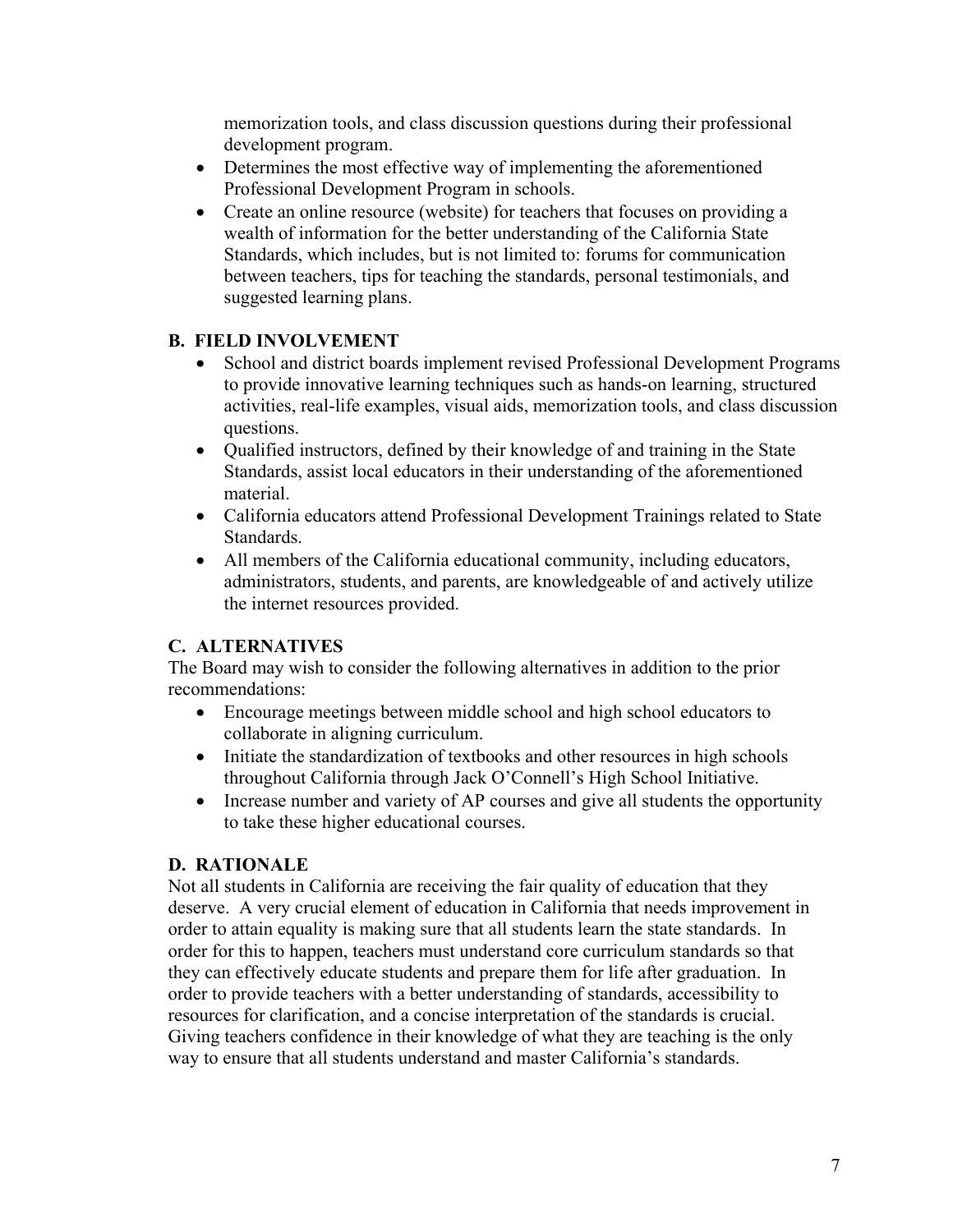memorization tools, and class discussion questions during their professional development program.

- Determines the most effective way of implementing the aforementioned Professional Development Program in schools.
- Create an online resource (website) for teachers that focuses on providing a wealth of information for the better understanding of the California State Standards, which includes, but is not limited to: forums for communication between teachers, tips for teaching the standards, personal testimonials, and suggested learning plans.

#### **B. FIELD INVOLVEMENT**

- School and district boards implement revised Professional Development Programs to provide innovative learning techniques such as hands-on learning, structured activities, real-life examples, visual aids, memorization tools, and class discussion questions.
- Qualified instructors, defined by their knowledge of and training in the State Standards, assist local educators in their understanding of the aforementioned material.
- California educators attend Professional Development Trainings related to State Standards.
- All members of the California educational community, including educators, administrators, students, and parents, are knowledgeable of and actively utilize the internet resources provided.

## **C. ALTERNATIVES**

The Board may wish to consider the following alternatives in addition to the prior recommendations:

- Encourage meetings between middle school and high school educators to collaborate in aligning curriculum.
- Initiate the standardization of textbooks and other resources in high schools throughout California through Jack O'Connell's High School Initiative.
- Increase number and variety of AP courses and give all students the opportunity to take these higher educational courses.

## **D. RATIONALE**

Not all students in California are receiving the fair quality of education that they deserve. A very crucial element of education in California that needs improvement in order to attain equality is making sure that all students learn the state standards. In order for this to happen, teachers must understand core curriculum standards so that they can effectively educate students and prepare them for life after graduation. In order to provide teachers with a better understanding of standards, accessibility to resources for clarification, and a concise interpretation of the standards is crucial. Giving teachers confidence in their knowledge of what they are teaching is the only way to ensure that all students understand and master California's standards.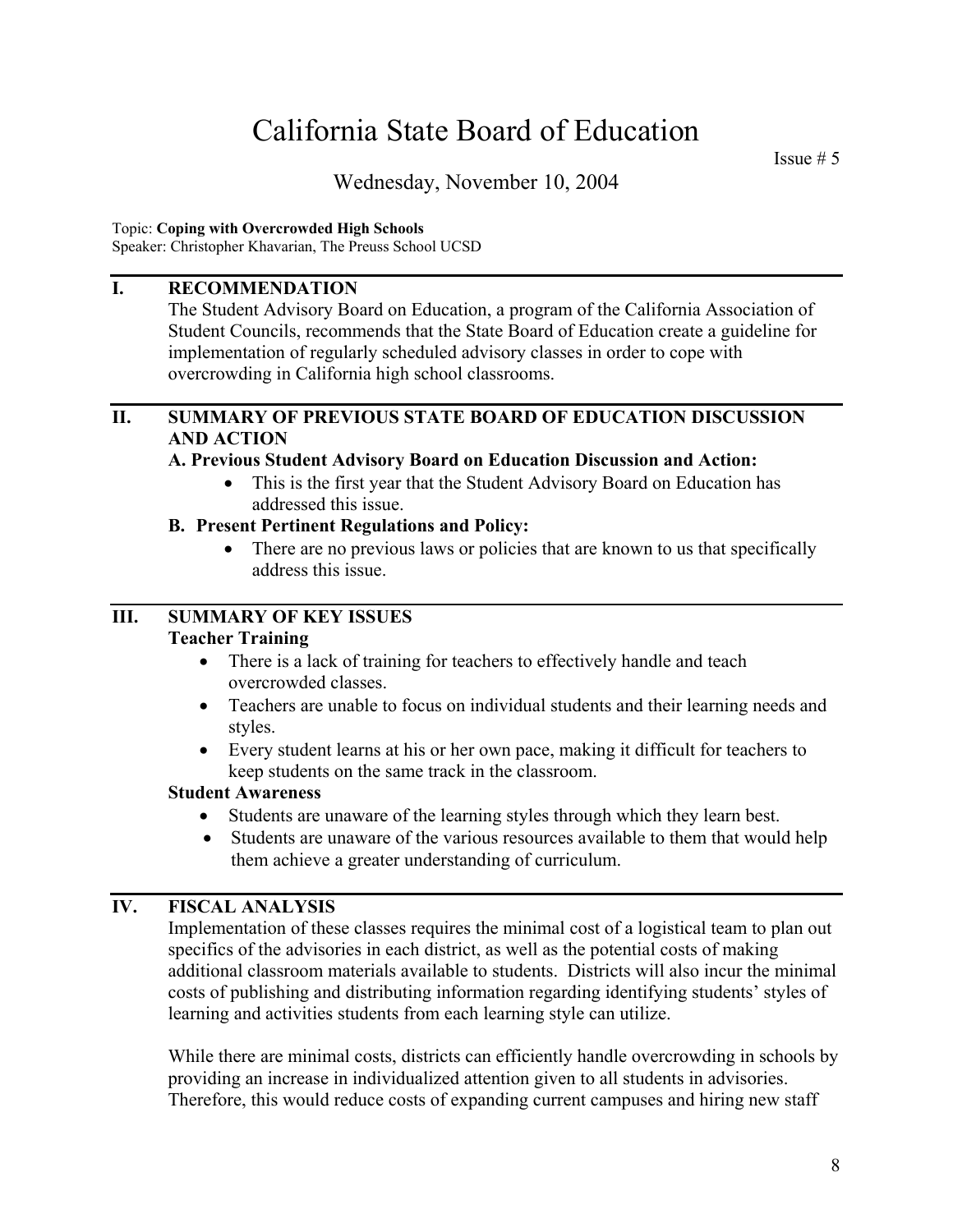Issue  $# 5$ 

## Wednesday, November 10, 2004

#### Topic: **Coping with Overcrowded High Schools**

Speaker: Christopher Khavarian, The Preuss School UCSD

### **I. RECOMMENDATION**

The Student Advisory Board on Education, a program of the California Association of Student Councils, recommends that the State Board of Education create a guideline for implementation of regularly scheduled advisory classes in order to cope with overcrowding in California high school classrooms.

#### **II. SUMMARY OF PREVIOUS STATE BOARD OF EDUCATION DISCUSSION AND ACTION**

#### **A. Previous Student Advisory Board on Education Discussion and Action:**

• This is the first year that the Student Advisory Board on Education has addressed this issue.

#### **B. Present Pertinent Regulations and Policy:**

• There are no previous laws or policies that are known to us that specifically address this issue.

## **III. SUMMARY OF KEY ISSUES**

#### **Teacher Training**

- There is a lack of training for teachers to effectively handle and teach overcrowded classes.
- Teachers are unable to focus on individual students and their learning needs and styles.
- Every student learns at his or her own pace, making it difficult for teachers to keep students on the same track in the classroom.

#### **Student Awareness**

- Students are unaware of the learning styles through which they learn best.
- Students are unaware of the various resources available to them that would help them achieve a greater understanding of curriculum.

#### **IV. FISCAL ANALYSIS**

Implementation of these classes requires the minimal cost of a logistical team to plan out specifics of the advisories in each district, as well as the potential costs of making additional classroom materials available to students. Districts will also incur the minimal costs of publishing and distributing information regarding identifying students' styles of learning and activities students from each learning style can utilize.

While there are minimal costs, districts can efficiently handle overcrowding in schools by providing an increase in individualized attention given to all students in advisories. Therefore, this would reduce costs of expanding current campuses and hiring new staff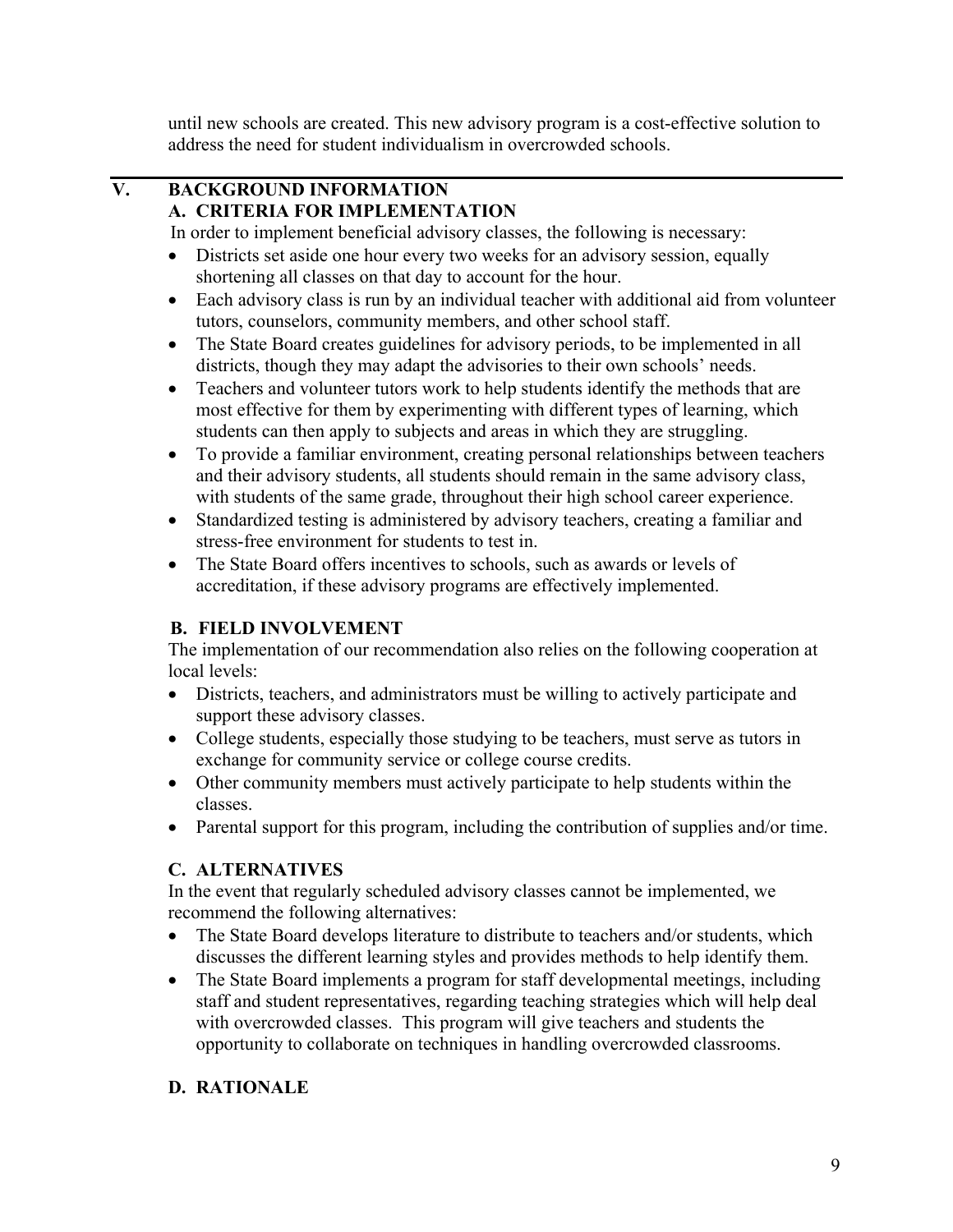until new schools are created. This new advisory program is a cost-effective solution to address the need for student individualism in overcrowded schools.

#### **V. BACKGROUND INFORMATION A. CRITERIA FOR IMPLEMENTATION**

In order to implement beneficial advisory classes, the following is necessary:

- Districts set aside one hour every two weeks for an advisory session, equally shortening all classes on that day to account for the hour.
- Each advisory class is run by an individual teacher with additional aid from volunteer tutors, counselors, community members, and other school staff.
- The State Board creates guidelines for advisory periods, to be implemented in all districts, though they may adapt the advisories to their own schools' needs.
- Teachers and volunteer tutors work to help students identify the methods that are most effective for them by experimenting with different types of learning, which students can then apply to subjects and areas in which they are struggling.
- To provide a familiar environment, creating personal relationships between teachers and their advisory students, all students should remain in the same advisory class, with students of the same grade, throughout their high school career experience.
- Standardized testing is administered by advisory teachers, creating a familiar and stress-free environment for students to test in.
- The State Board offers incentives to schools, such as awards or levels of accreditation, if these advisory programs are effectively implemented.

## **B. FIELD INVOLVEMENT**

The implementation of our recommendation also relies on the following cooperation at local levels:

- Districts, teachers, and administrators must be willing to actively participate and support these advisory classes.
- College students, especially those studying to be teachers, must serve as tutors in exchange for community service or college course credits.
- Other community members must actively participate to help students within the classes.
- Parental support for this program, including the contribution of supplies and/or time.

## **C. ALTERNATIVES**

In the event that regularly scheduled advisory classes cannot be implemented, we recommend the following alternatives:

- The State Board develops literature to distribute to teachers and/or students, which discusses the different learning styles and provides methods to help identify them.
- The State Board implements a program for staff developmental meetings, including staff and student representatives, regarding teaching strategies which will help deal with overcrowded classes. This program will give teachers and students the opportunity to collaborate on techniques in handling overcrowded classrooms.

## **D. RATIONALE**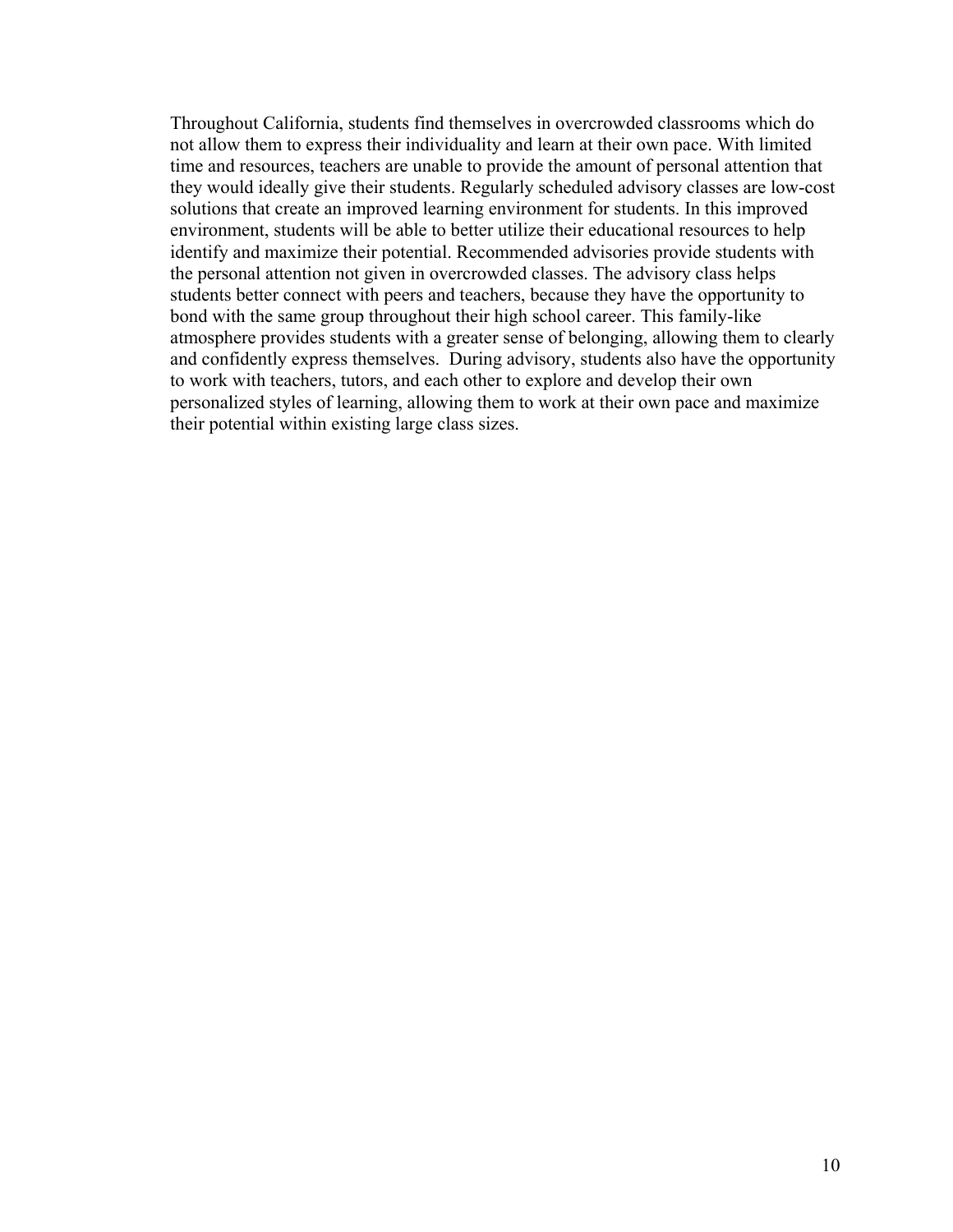Throughout California, students find themselves in overcrowded classrooms which do not allow them to express their individuality and learn at their own pace. With limited time and resources, teachers are unable to provide the amount of personal attention that they would ideally give their students. Regularly scheduled advisory classes are low-cost solutions that create an improved learning environment for students. In this improved environment, students will be able to better utilize their educational resources to help identify and maximize their potential. Recommended advisories provide students with the personal attention not given in overcrowded classes. The advisory class helps students better connect with peers and teachers, because they have the opportunity to bond with the same group throughout their high school career. This family-like atmosphere provides students with a greater sense of belonging, allowing them to clearly and confidently express themselves. During advisory, students also have the opportunity to work with teachers, tutors, and each other to explore and develop their own personalized styles of learning, allowing them to work at their own pace and maximize their potential within existing large class sizes.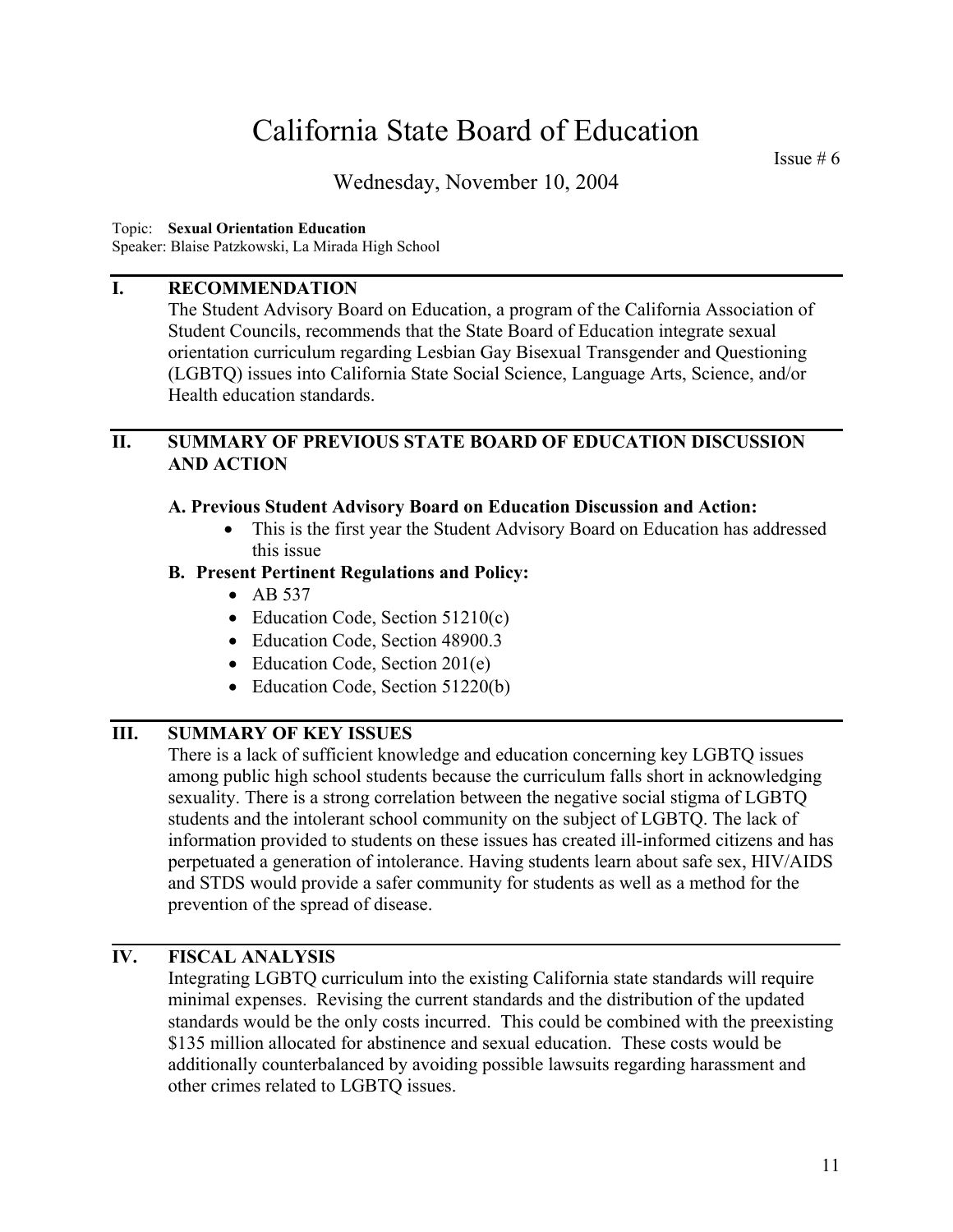Issue # 6

## Wednesday, November 10, 2004

#### Topic: **Sexual Orientation Education**

Speaker: Blaise Patzkowski, La Mirada High School

#### **I. RECOMMENDATION**

The Student Advisory Board on Education, a program of the California Association of Student Councils, recommends that the State Board of Education integrate sexual orientation curriculum regarding Lesbian Gay Bisexual Transgender and Questioning (LGBTQ) issues into California State Social Science, Language Arts, Science, and/or Health education standards.

#### **II. SUMMARY OF PREVIOUS STATE BOARD OF EDUCATION DISCUSSION AND ACTION**

#### **A. Previous Student Advisory Board on Education Discussion and Action:**

• This is the first year the Student Advisory Board on Education has addressed this issue

#### **B. Present Pertinent Regulations and Policy:**

- AB 537
- Education Code, Section 51210(c)
- Education Code, Section 48900.3
- Education Code, Section 201(e)
- Education Code, Section 51220(b)

#### **III. SUMMARY OF KEY ISSUES**

There is a lack of sufficient knowledge and education concerning key LGBTQ issues among public high school students because the curriculum falls short in acknowledging sexuality. There is a strong correlation between the negative social stigma of LGBTQ students and the intolerant school community on the subject of LGBTQ. The lack of information provided to students on these issues has created ill-informed citizens and has perpetuated a generation of intolerance. Having students learn about safe sex, HIV/AIDS and STDS would provide a safer community for students as well as a method for the prevention of the spread of disease.

#### **IV. FISCAL ANALYSIS**

Integrating LGBTQ curriculum into the existing California state standards will require minimal expenses. Revising the current standards and the distribution of the updated standards would be the only costs incurred. This could be combined with the preexisting \$135 million allocated for abstinence and sexual education. These costs would be additionally counterbalanced by avoiding possible lawsuits regarding harassment and other crimes related to LGBTQ issues.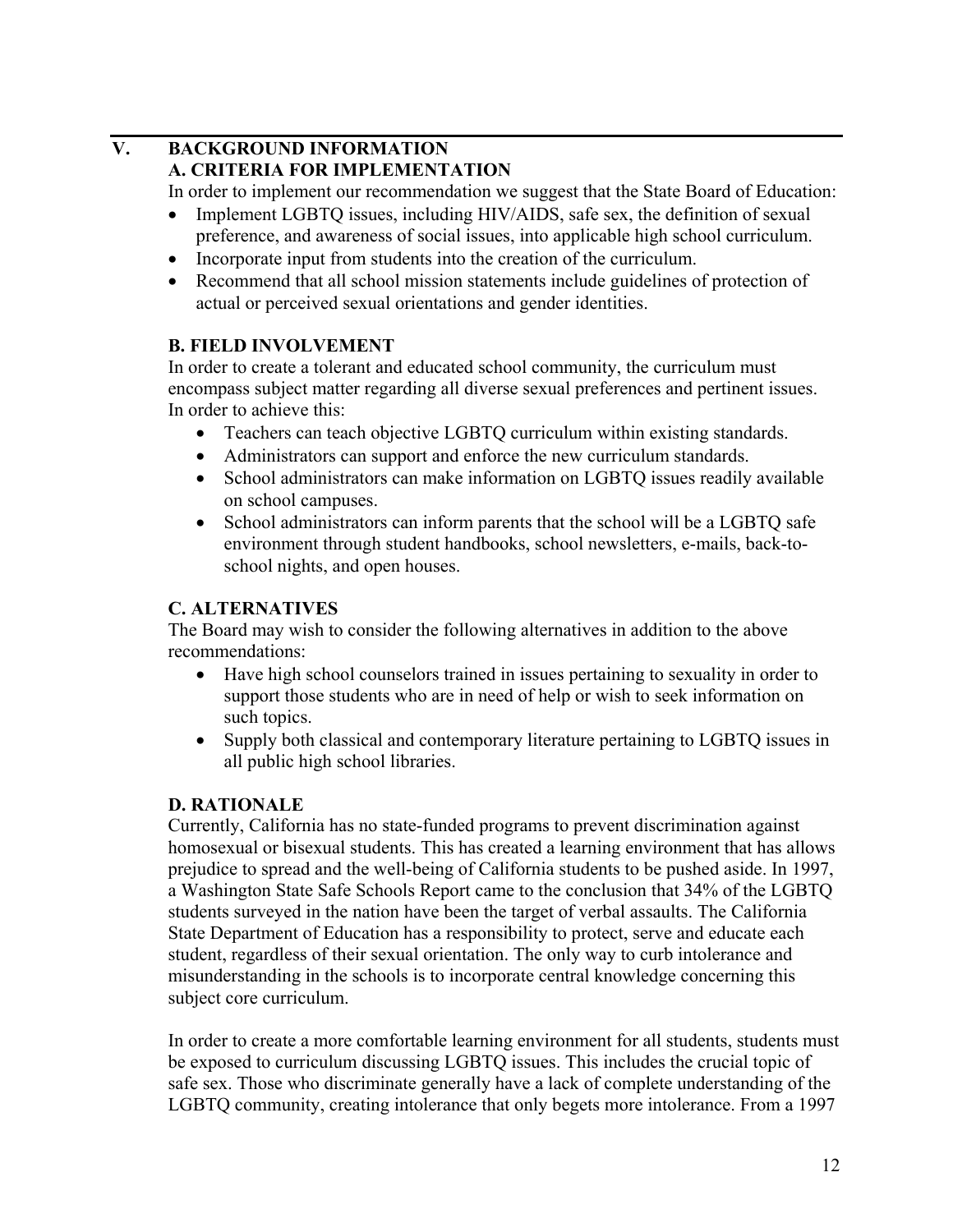## **V. BACKGROUND INFORMATION A. CRITERIA FOR IMPLEMENTATION**

In order to implement our recommendation we suggest that the State Board of Education:

- Implement LGBTQ issues, including HIV/AIDS, safe sex, the definition of sexual preference, and awareness of social issues, into applicable high school curriculum.
- Incorporate input from students into the creation of the curriculum.
- Recommend that all school mission statements include guidelines of protection of actual or perceived sexual orientations and gender identities.

## **B. FIELD INVOLVEMENT**

In order to create a tolerant and educated school community, the curriculum must encompass subject matter regarding all diverse sexual preferences and pertinent issues. In order to achieve this:

- Teachers can teach objective LGBTQ curriculum within existing standards.
- Administrators can support and enforce the new curriculum standards.
- School administrators can make information on LGBTQ issues readily available on school campuses.
- School administrators can inform parents that the school will be a LGBTO safe environment through student handbooks, school newsletters, e-mails, back-toschool nights, and open houses.

## **C. ALTERNATIVES**

The Board may wish to consider the following alternatives in addition to the above recommendations:

- Have high school counselors trained in issues pertaining to sexuality in order to support those students who are in need of help or wish to seek information on such topics.
- Supply both classical and contemporary literature pertaining to LGBTQ issues in all public high school libraries.

## **D. RATIONALE**

Currently, California has no state-funded programs to prevent discrimination against homosexual or bisexual students. This has created a learning environment that has allows prejudice to spread and the well-being of California students to be pushed aside. In 1997, a Washington State Safe Schools Report came to the conclusion that 34% of the LGBTQ students surveyed in the nation have been the target of verbal assaults. The California State Department of Education has a responsibility to protect, serve and educate each student, regardless of their sexual orientation. The only way to curb intolerance and misunderstanding in the schools is to incorporate central knowledge concerning this subject core curriculum.

In order to create a more comfortable learning environment for all students, students must be exposed to curriculum discussing LGBTQ issues. This includes the crucial topic of safe sex. Those who discriminate generally have a lack of complete understanding of the LGBTQ community, creating intolerance that only begets more intolerance. From a 1997